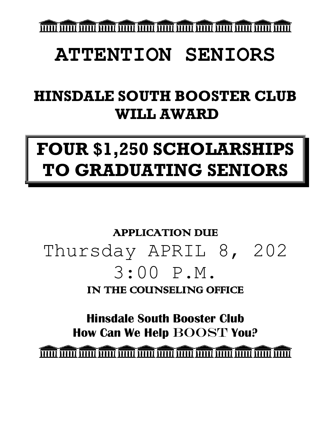โนนนี้ โนนนี้ โนนนี้ โนนนี้ โนนนี้ โนนนี้ โนนนี้ โนนนี้ โนนนี้ โนนนี้ โนนนี้ โนนนี้ โนนนี้ โนนนี้

# **ATTENTION SENIORS**

# **HINSDALE SOUTH BOOSTER CLUB WILL AWARD**

# **FOUR \$1,250 SCHOLARSHIPS TO GRADUATING SENIORS**

# APPLICATION DUE Thursday APRIL 8, 202 3:00 P.M. IN THE COUNSELING OFFICE

**Hinsdale South Booster Club How Can We Help** BOOST **You?**

<u>ה הרבה "הרבהה" הרבהה" הרבהה "הרבהה "הרבהה "הרבהה "הרבהה" הרבהה "הרבהה "הרבהה" הרבהה "הרבהה" הרבהה "הרבהה "</u>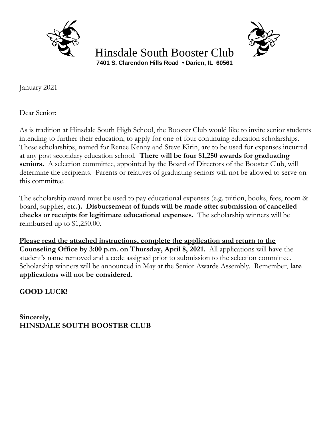

 Hinsdale South Booster Club **7401 S. Clarendon Hills Road • Darien, IL 60561**

January 2021

Dear Senior:

As is tradition at Hinsdale South High School, the Booster Club would like to invite senior students intending to further their education, to apply for one of four continuing education scholarships. These scholarships, named for Renee Kenny and Steve Kirin, are to be used for expenses incurred at any post secondary education school. **There will be four \$1,250 awards for graduating**  seniors. A selection committee, appointed by the Board of Directors of the Booster Club, will determine the recipients. Parents or relatives of graduating seniors will not be allowed to serve on this committee.

The scholarship award must be used to pay educational expenses (e.g. tuition, books, fees, room & board, supplies, etc**.). Disbursement of funds will be made after submission of cancelled checks or receipts for legitimate educational expenses.** The scholarship winners will be reimbursed up to \$1,250.00.

**Please read the attached instructions, complete the application and return to the Counseling Office by 3:00 p.m. on Thursday, April 8, 2021.** All applications will have the student's name removed and a code assigned prior to submission to the selection committee. Scholarship winners will be announced in May at the Senior Awards Assembly. Remember, **late applications will not be considered.**

**GOOD LUCK!**

**Sincerely, HINSDALE SOUTH BOOSTER CLUB**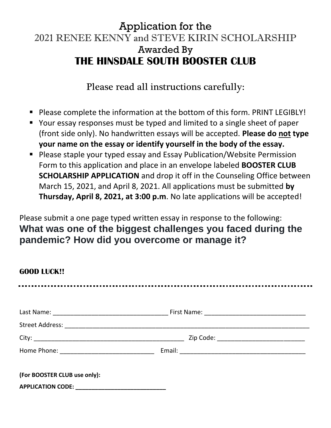### Application for the 2021 RENEE KENNY and STEVE KIRIN SCHOLARSHIP Awarded By **THE HINSDALE SOUTH BOOSTER CLUB**

Please read all instructions carefully:

- Please complete the information at the bottom of this form. PRINT LEGIBLY!
- Your essay responses must be typed and limited to a single sheet of paper (front side only). No handwritten essays will be accepted. **Please do not type your name on the essay or identify yourself in the body of the essay.**
- Please staple your typed essay and Essay Publication/Website Permission Form to this application and place in an envelope labeled **BOOSTER CLUB SCHOLARSHIP APPLICATION** and drop it off in the Counseling Office between March 15, 2021, and April 8, 2021. All applications must be submitted **by Thursday, April 8, 2021, at 3:00 p.m**. No late applications will be accepted!

Please submit a one page typed written essay in response to the following: **What was one of the biggest challenges you faced during the pandemic? How did you overcome or manage it?**

| <b>GOOD LUCK!!</b>           |  |
|------------------------------|--|
|                              |  |
|                              |  |
|                              |  |
|                              |  |
|                              |  |
| (For BOOSTER CLUB use only): |  |
|                              |  |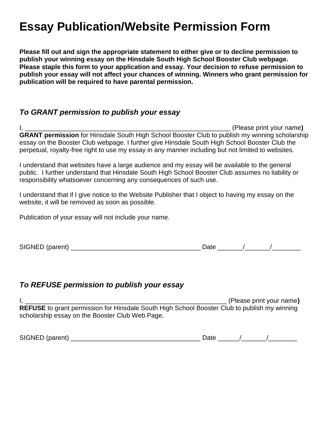## **Essay Publication/Website Permission Form**

**Please fill out and sign the appropriate statement to either give or to decline permission to publish your winning essay on the Hinsdale South High School Booster Club webpage. Please staple this form to your application and essay. Your decision to refuse permission to publish your essay will not affect your chances of winning. Winners who grant permission for publication will be required to have parental permission.** 

### *To GRANT permission to publish your essay*

I, \_\_\_\_\_\_\_\_\_\_\_\_\_\_\_\_\_\_\_\_\_\_\_\_\_\_\_\_\_\_\_\_\_\_\_\_\_\_\_\_\_\_\_\_\_\_\_\_\_\_\_\_\_\_\_\_\_ (Please print your name**) GRANT permission** for Hinsdale South High School Booster Club to publish my winning scholarship essay on the Booster Club webpage. I further give Hinsdale South High School Booster Club the perpetual, royalty-free right to use my essay in any manner including but not limited to websites.

I understand that websites have a large audience and my essay will be available to the general public. I further understand that Hinsdale South High School Booster Club assumes no liability or responsibility whatsoever concerning any consequences of such use.

I understand that if I give notice to the Website Publisher that I object to having my essay on the website, it will be removed as soon as possible.

Publication of your essay will not include your name.

| SIGNED (parent) | )atı |  |
|-----------------|------|--|
|-----------------|------|--|

### *To REFUSE permission to publish your essay*

I, \_\_\_\_\_\_\_\_\_\_\_\_\_\_\_\_\_\_\_\_\_\_\_\_\_\_\_\_\_\_\_\_\_\_\_\_\_\_\_\_\_\_\_\_\_\_\_\_\_\_\_\_\_\_\_\_ (Please print your name**) REFUSE** to grant permission for Hinsdale South High School Booster Club to publish my winning scholarship essay on the Booster Club Web Page.

| <b>SIGNE</b><br>.<br>$   -$ | --- |  |
|-----------------------------|-----|--|
|-----------------------------|-----|--|